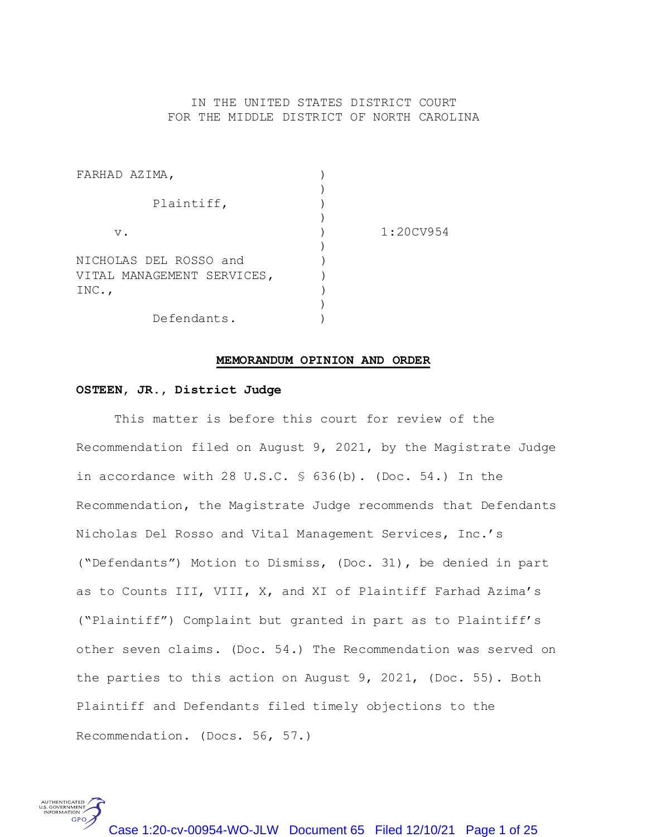## IN THE UNITED STATES DISTRICT COURT FOR THE MIDDLE DISTRICT OF NORTH CAROLINA

| FARHAD AZIMA,              |           |
|----------------------------|-----------|
|                            |           |
| Plaintiff,                 |           |
|                            |           |
| $V$ .                      | 1:20CV954 |
|                            |           |
| NICHOLAS DEL ROSSO and     |           |
| VITAL MANAGEMENT SERVICES, |           |
| $INC.$ ,                   |           |
|                            |           |
| Defendants.                |           |

#### **MEMORANDUM OPINION AND ORDER**

## **OSTEEN, JR., District Judge**

S. GOVERNMENT

This matter is before this court for review of the Recommendation filed on August 9, 2021, by the Magistrate Judge in accordance with 28 U.S.C. § 636(b). (Doc. 54.) In the Recommendation, the Magistrate Judge recommends that Defendants Nicholas Del Rosso and Vital Management Services, Inc.'s ("Defendants") Motion to Dismiss, (Doc. 31), be denied in part as to Counts III, VIII, X, and XI of Plaintiff Farhad Azima's ("Plaintiff") Complaint but granted in part as to Plaintiff's other seven claims. (Doc. 54.) The Recommendation was served on the parties to this action on August 9, 2021, (Doc. 55). Both Plaintiff and Defendants filed timely objections to the Recommendation. (Docs. 56, 57.)

Case 1:20-cv-00954-WO-JLW Document 65 Filed 12/10/21 Page 1 of 25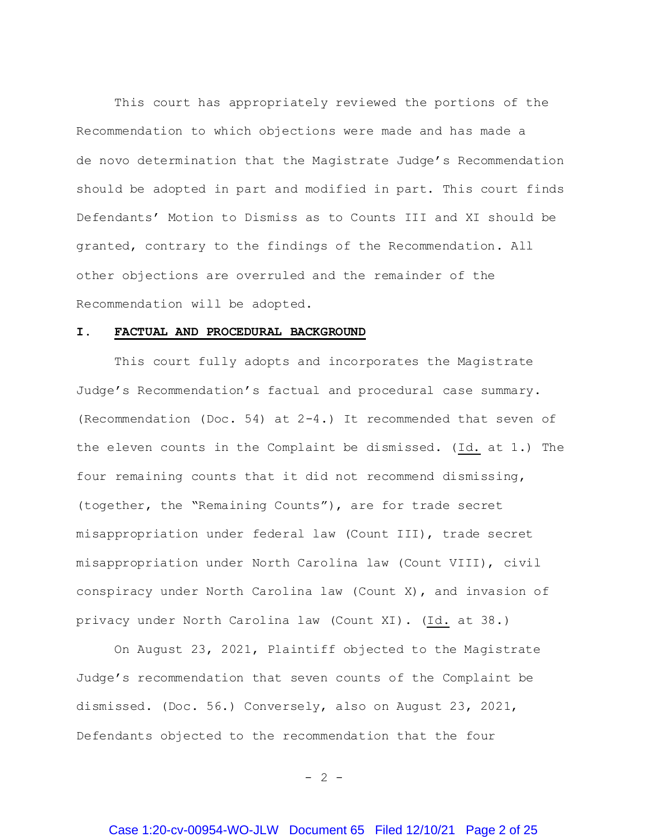This court has appropriately reviewed the portions of the Recommendation to which objections were made and has made a de novo determination that the Magistrate Judge's Recommendation should be adopted in part and modified in part. This court finds Defendants' Motion to Dismiss as to Counts III and XI should be granted, contrary to the findings of the Recommendation. All other objections are overruled and the remainder of the Recommendation will be adopted.

#### **I. FACTUAL AND PROCEDURAL BACKGROUND**

This court fully adopts and incorporates the Magistrate Judge's Recommendation's factual and procedural case summary. (Recommendation (Doc. 54) at 2-4.) It recommended that seven of the eleven counts in the Complaint be dismissed. (Id. at 1.) The four remaining counts that it did not recommend dismissing, (together, the "Remaining Counts"), are for trade secret misappropriation under federal law (Count III), trade secret misappropriation under North Carolina law (Count VIII), civil conspiracy under North Carolina law (Count X), and invasion of privacy under North Carolina law (Count XI). (Id. at 38.)

On August 23, 2021, Plaintiff objected to the Magistrate Judge's recommendation that seven counts of the Complaint be dismissed. (Doc. 56.) Conversely, also on August 23, 2021, Defendants objected to the recommendation that the four

 $- 2 -$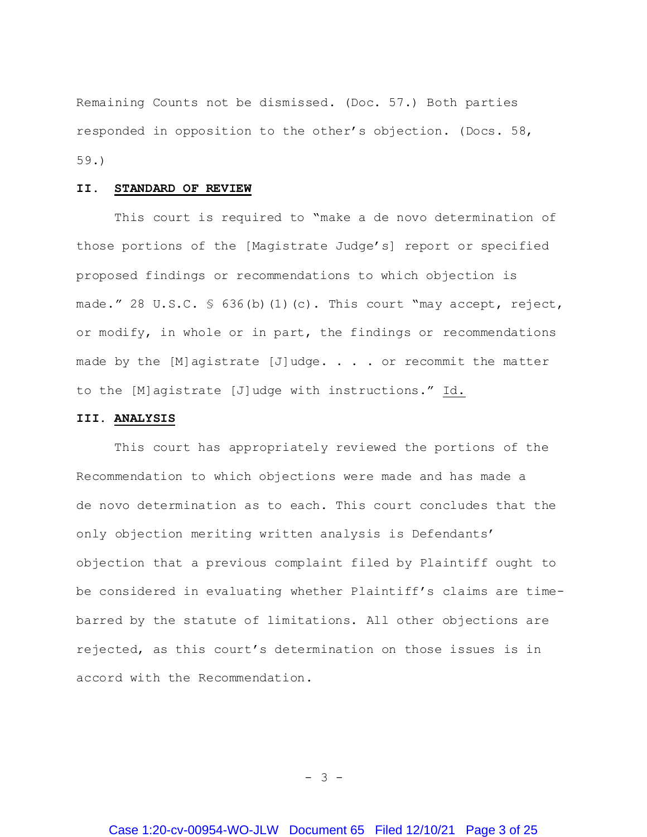Remaining Counts not be dismissed. (Doc. 57.) Both parties responded in opposition to the other's objection. (Docs. 58, 59.)

#### **II. STANDARD OF REVIEW**

This court is required to "make a de novo determination of those portions of the [Magistrate Judge's] report or specified proposed findings or recommendations to which objection is made." 28 U.S.C.  $\frac{1}{5}$  636(b)(1)(c). This court "may accept, reject, or modify, in whole or in part, the findings or recommendations made by the  $[M]$ agistrate  $[J]$ udge. . . . or recommit the matter to the [M]agistrate [J]udge with instructions." Id.

### **III. ANALYSIS**

This court has appropriately reviewed the portions of the Recommendation to which objections were made and has made a de novo determination as to each. This court concludes that the only objection meriting written analysis is Defendants' objection that a previous complaint filed by Plaintiff ought to be considered in evaluating whether Plaintiff's claims are timebarred by the statute of limitations. All other objections are rejected, as this court's determination on those issues is in accord with the Recommendation.

- 3 -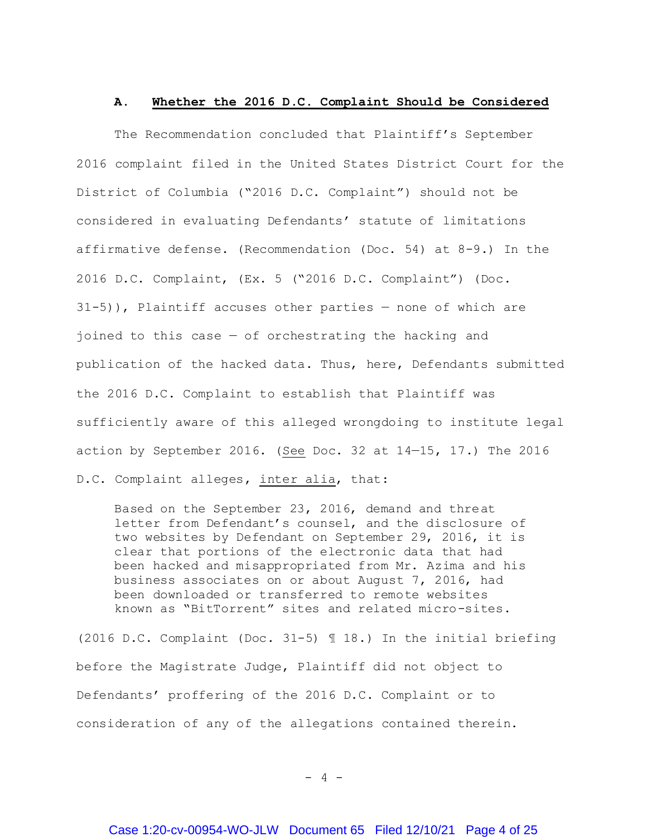#### **A. Whether the 2016 D.C. Complaint Should be Considered**

The Recommendation concluded that Plaintiff's September 2016 complaint filed in the United States District Court for the District of Columbia ("2016 D.C. Complaint") should not be considered in evaluating Defendants' statute of limitations affirmative defense. (Recommendation (Doc. 54) at 8-9.) In the 2016 D.C. Complaint, (Ex. 5 ("2016 D.C. Complaint") (Doc. 31-5)), Plaintiff accuses other parties — none of which are joined to this case — of orchestrating the hacking and publication of the hacked data. Thus, here, Defendants submitted the 2016 D.C. Complaint to establish that Plaintiff was sufficiently aware of this alleged wrongdoing to institute legal action by September 2016. (See Doc. 32 at  $14-15$ , 17.) The 2016 D.C. Complaint alleges, inter alia, that:

Based on the September 23, 2016, demand and threat letter from Defendant's counsel, and the disclosure of two websites by Defendant on September 29, 2016, it is clear that portions of the electronic data that had been hacked and misappropriated from Mr. Azima and his business associates on or about August 7, 2016, had been downloaded or transferred to remote websites known as "BitTorrent" sites and related micro-sites.

(2016 D.C. Complaint (Doc. 31-5) ¶ 18.) In the initial briefing before the Magistrate Judge, Plaintiff did not object to Defendants' proffering of the 2016 D.C. Complaint or to consideration of any of the allegations contained therein.

 $- 4 -$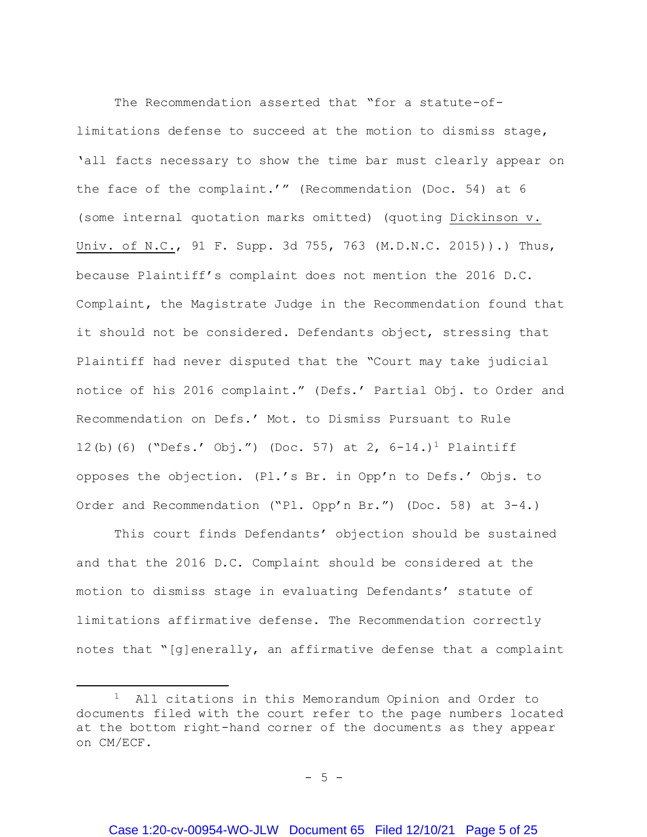The Recommendation asserted that "for a statute-oflimitations defense to succeed at the motion to dismiss stage, 'all facts necessary to show the time bar must clearly appear on the face of the complaint.'" (Recommendation (Doc. 54) at 6 (some internal quotation marks omitted) (quoting Dickinson v. Univ. of N.C., 91 F. Supp. 3d 755, 763 (M.D.N.C. 2015)).) Thus, because Plaintiff's complaint does not mention the 2016 D.C. Complaint, the Magistrate Judge in the Recommendation found that it should not be considered. Defendants object, stressing that Plaintiff had never disputed that the "Court may take judicial notice of his 2016 complaint." (Defs.' Partial Obj. to Order and Recommendation on Defs.' Mot. to Dismiss Pursuant to Rule 12(b)(6) ("Defs.' Obj.") (Doc. 57) at 2,  $6-14.$ )<sup>1</sup> Plaintiff opposes the objection. (Pl.'s Br. in Opp'n to Defs.' Objs. to Order and Recommendation ("Pl. Opp'n Br.") (Doc. 58) at 3-4.)

This court finds Defendants' objection should be sustained and that the 2016 D.C. Complaint should be considered at the motion to dismiss stage in evaluating Defendants' statute of limitations affirmative defense. The Recommendation correctly notes that "[g]enerally, an affirmative defense that a complaint

l

 $-5 -$ 

<sup>&</sup>lt;sup>1</sup> All citations in this Memorandum Opinion and Order to documents filed with the court refer to the page numbers located at the bottom right-hand corner of the documents as they appear on CM/ECF.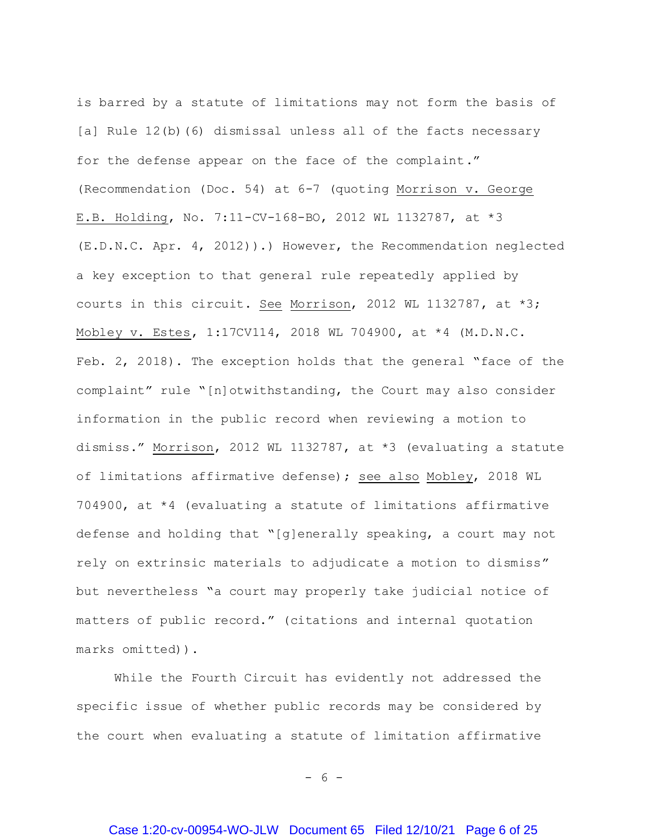is barred by a statute of limitations may not form the basis of [a] Rule 12(b)(6) dismissal unless all of the facts necessary for the defense appear on the face of the complaint." (Recommendation (Doc. 54) at 6-7 (quoting Morrison v. George E.B. Holding, No. 7:11-CV-168-BO, 2012 WL 1132787, at \*3 (E.D.N.C. Apr. 4, 2012)).) However, the Recommendation neglected a key exception to that general rule repeatedly applied by courts in this circuit. See Morrison, 2012 WL 1132787, at \*3; Mobley v. Estes, 1:17CV114, 2018 WL 704900, at \*4 (M.D.N.C. Feb. 2, 2018). The exception holds that the general "face of the complaint" rule "[n]otwithstanding, the Court may also consider information in the public record when reviewing a motion to dismiss." Morrison, 2012 WL 1132787, at \*3 (evaluating a statute of limitations affirmative defense); see also Mobley, 2018 WL 704900, at \*4 (evaluating a statute of limitations affirmative defense and holding that "[g]enerally speaking, a court may not rely on extrinsic materials to adjudicate a motion to dismiss" but nevertheless "a court may properly take judicial notice of matters of public record." (citations and internal quotation marks omitted)).

While the Fourth Circuit has evidently not addressed the specific issue of whether public records may be considered by the court when evaluating a statute of limitation affirmative

 $- 6 -$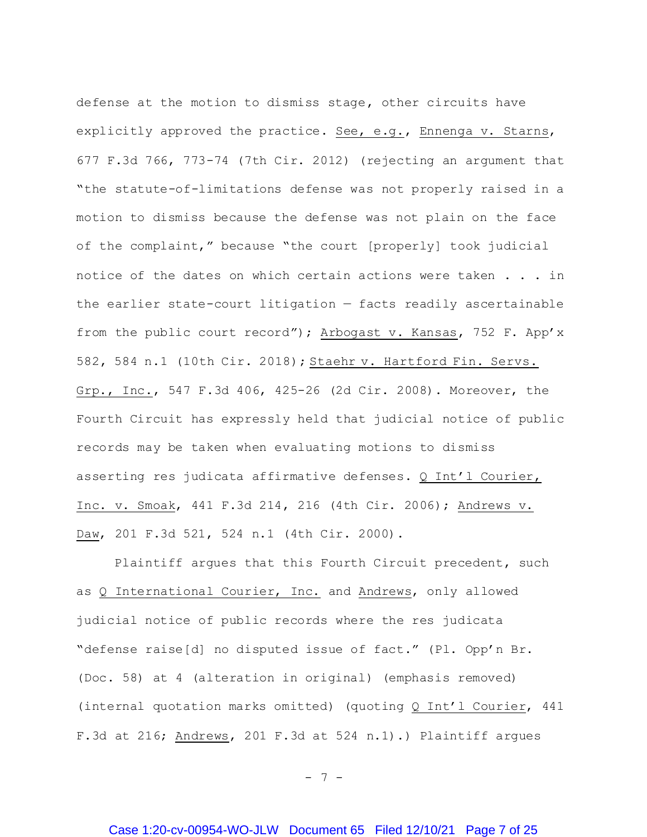defense at the motion to dismiss stage, other circuits have explicitly approved the practice. See, e.g., Ennenga v. Starns, 677 F.3d 766, 773-74 (7th Cir. 2012) (rejecting an argument that "the statute-of-limitations defense was not properly raised in a motion to dismiss because the defense was not plain on the face of the complaint," because "the court [properly] took judicial notice of the dates on which certain actions were taken . . . in the earlier state-court litigation — facts readily ascertainable from the public court record"); Arbogast v. Kansas, 752 F. App'x 582, 584 n.1 (10th Cir. 2018); Staehr v. Hartford Fin. Servs. Grp., Inc., 547 F.3d 406, 425-26 (2d Cir. 2008). Moreover, the Fourth Circuit has expressly held that judicial notice of public records may be taken when evaluating motions to dismiss asserting res judicata affirmative defenses. Q Int'l Courier, Inc. v. Smoak, 441 F.3d 214, 216 (4th Cir. 2006); Andrews v. Daw, 201 F.3d 521, 524 n.1 (4th Cir. 2000).

Plaintiff argues that this Fourth Circuit precedent, such as Q International Courier, Inc. and Andrews, only allowed judicial notice of public records where the res judicata "defense raise[d] no disputed issue of fact." (Pl. Opp'n Br. (Doc. 58) at 4 (alteration in original) (emphasis removed) (internal quotation marks omitted) (quoting Q Int'l Courier, 441 F.3d at 216; Andrews, 201 F.3d at 524 n.1).) Plaintiff argues

- 7 -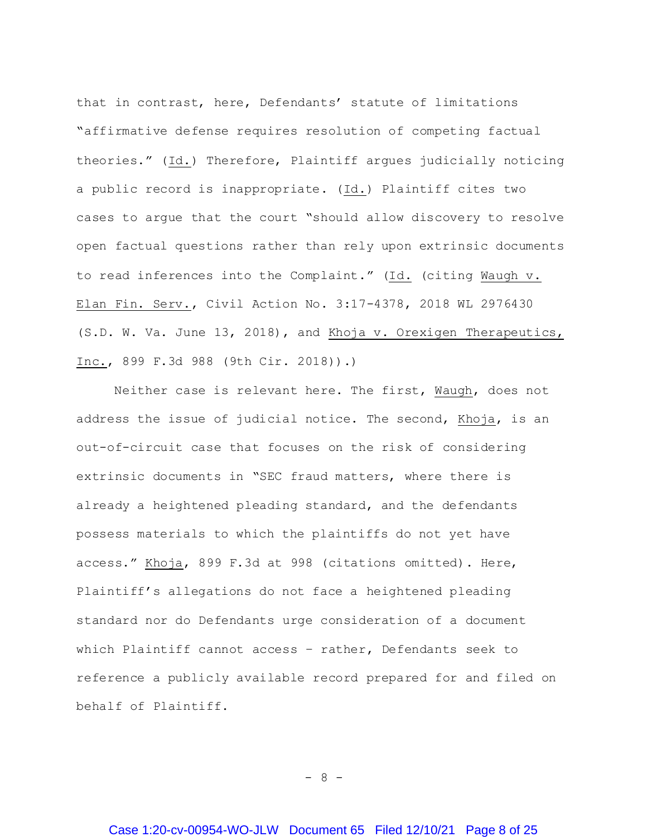that in contrast, here, Defendants' statute of limitations "affirmative defense requires resolution of competing factual theories." (Id.) Therefore, Plaintiff argues judicially noticing a public record is inappropriate. (Id.) Plaintiff cites two cases to argue that the court "should allow discovery to resolve open factual questions rather than rely upon extrinsic documents to read inferences into the Complaint." (Id. (citing Waugh v. Elan Fin. Serv., Civil Action No. 3:17-4378, 2018 WL 2976430 (S.D. W. Va. June 13, 2018), and Khoja v. Orexigen Therapeutics, Inc., 899 F.3d 988 (9th Cir. 2018)).)

Neither case is relevant here. The first, Waugh, does not address the issue of judicial notice. The second, Khoja, is an out-of-circuit case that focuses on the risk of considering extrinsic documents in "SEC fraud matters, where there is already a heightened pleading standard, and the defendants possess materials to which the plaintiffs do not yet have access." Khoja, 899 F.3d at 998 (citations omitted). Here, Plaintiff's allegations do not face a heightened pleading standard nor do Defendants urge consideration of a document which Plaintiff cannot access – rather, Defendants seek to reference a publicly available record prepared for and filed on behalf of Plaintiff.

- 8 -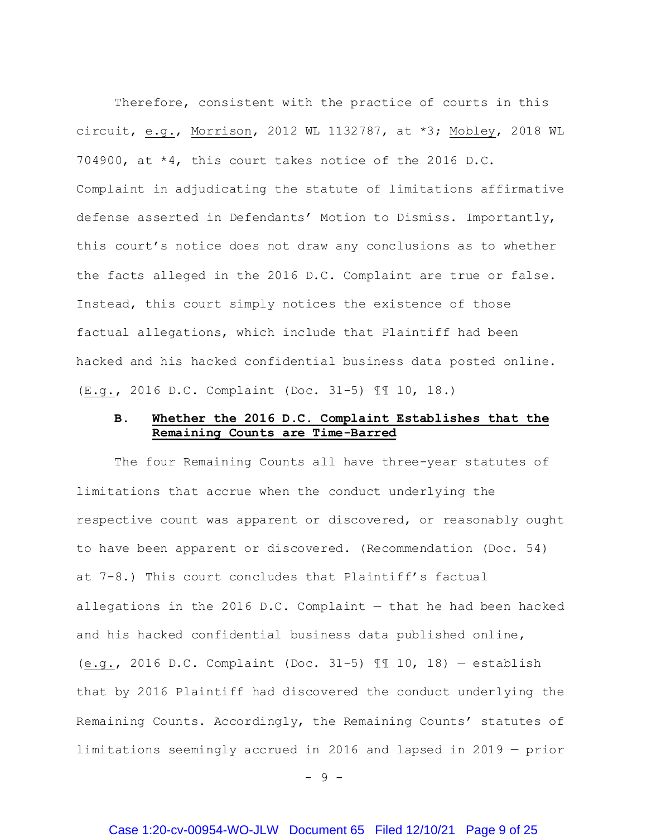Therefore, consistent with the practice of courts in this circuit, e.g., Morrison, 2012 WL 1132787, at \*3; Mobley, 2018 WL 704900, at \*4, this court takes notice of the 2016 D.C. Complaint in adjudicating the statute of limitations affirmative defense asserted in Defendants' Motion to Dismiss. Importantly, this court's notice does not draw any conclusions as to whether the facts alleged in the 2016 D.C. Complaint are true or false. Instead, this court simply notices the existence of those factual allegations, which include that Plaintiff had been hacked and his hacked confidential business data posted online. (E.g., 2016 D.C. Complaint (Doc. 31-5) ¶¶ 10, 18.)

# **B. Whether the 2016 D.C. Complaint Establishes that the Remaining Counts are Time-Barred**

The four Remaining Counts all have three-year statutes of limitations that accrue when the conduct underlying the respective count was apparent or discovered, or reasonably ought to have been apparent or discovered. (Recommendation (Doc. 54) at 7-8.) This court concludes that Plaintiff's factual allegations in the 2016 D.C. Complaint  $-$  that he had been hacked and his hacked confidential business data published online, (e.g., 2016 D.C. Complaint (Doc. 31-5) ¶¶ 10, 18) — establish that by 2016 Plaintiff had discovered the conduct underlying the Remaining Counts. Accordingly, the Remaining Counts' statutes of limitations seemingly accrued in 2016 and lapsed in 2019 — prior

- 9 -

## Case 1:20-cv-00954-WO-JLW Document 65 Filed 12/10/21 Page 9 of 25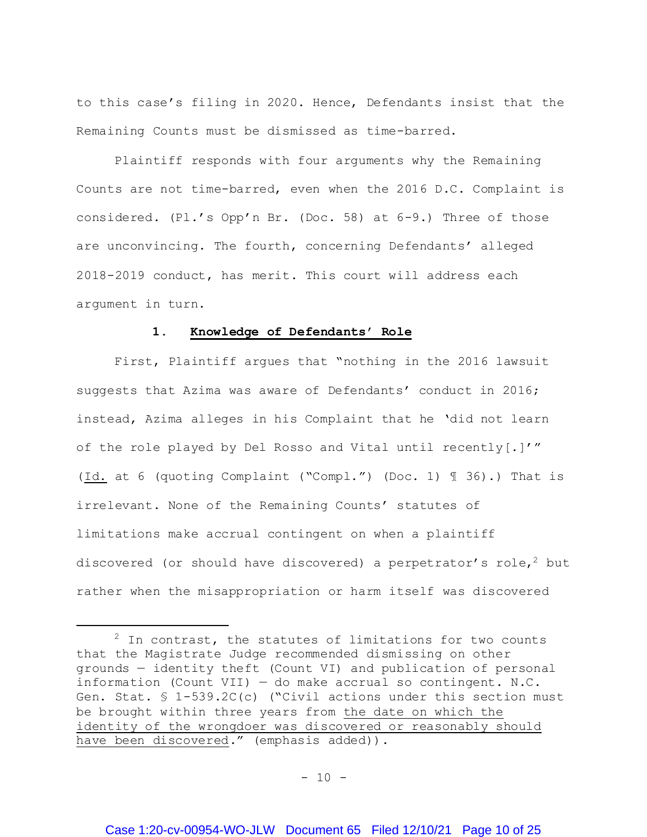to this case's filing in 2020. Hence, Defendants insist that the Remaining Counts must be dismissed as time-barred.

Plaintiff responds with four arguments why the Remaining Counts are not time-barred, even when the 2016 D.C. Complaint is considered. (Pl.'s Opp'n Br. (Doc. 58) at 6-9.) Three of those are unconvincing. The fourth, concerning Defendants' alleged 2018-2019 conduct, has merit. This court will address each argument in turn.

### **1. Knowledge of Defendants' Role**

First, Plaintiff argues that "nothing in the 2016 lawsuit suggests that Azima was aware of Defendants' conduct in 2016; instead, Azima alleges in his Complaint that he 'did not learn of the role played by Del Rosso and Vital until recently[.]'" (Id. at 6 (quoting Complaint ("Compl.") (Doc. 1) ¶ 36).) That is irrelevant. None of the Remaining Counts' statutes of limitations make accrual contingent on when a plaintiff discovered (or should have discovered) a perpetrator's role, <sup>2</sup> but rather when the misappropriation or harm itself was discovered

j

 $2$  In contrast, the statutes of limitations for two counts that the Magistrate Judge recommended dismissing on other grounds — identity theft (Count VI) and publication of personal information (Count VII)  $-$  do make accrual so contingent. N.C. Gen. Stat. § 1-539.2C(c) ("Civil actions under this section must be brought within three years from the date on which the identity of the wrongdoer was discovered or reasonably should have been discovered." (emphasis added)).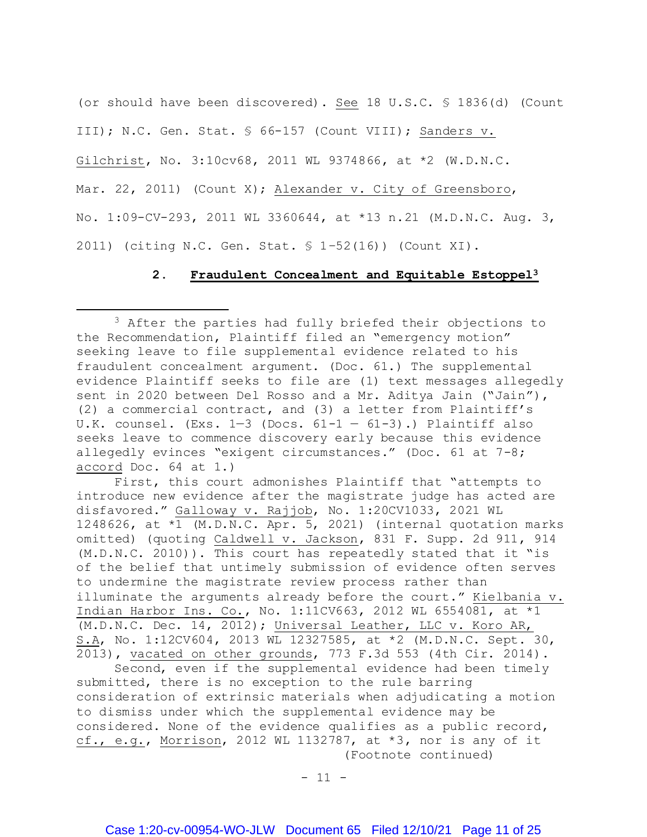(or should have been discovered). See 18 U.S.C. § 1836(d) (Count III); N.C. Gen. Stat. § 66-157 (Count VIII); Sanders v. Gilchrist, No. 3:10cv68, 2011 WL 9374866, at \*2 (W.D.N.C. Mar. 22, 2011) (Count X); Alexander v. City of Greensboro, No. 1:09-CV-293, 2011 WL 3360644, at \*13 n.21 (M.D.N.C. Aug. 3, 2011) (citing N.C. Gen. Stat. § 1–52(16)) (Count XI).

### **2. Fraudulent Concealment and Equitable Estoppel<sup>3</sup>**

l

First, this court admonishes Plaintiff that "attempts to introduce new evidence after the magistrate judge has acted are disfavored." Galloway v. Rajjob, No. 1:20CV1033, 2021 WL 1248626, at \*1 (M.D.N.C. Apr. 5, 2021) (internal quotation marks omitted) (quoting Caldwell v. Jackson, 831 F. Supp. 2d 911, 914 (M.D.N.C. 2010)). This court has repeatedly stated that it "is of the belief that untimely submission of evidence often serves to undermine the magistrate review process rather than illuminate the arguments already before the court." Kielbania v. Indian Harbor Ins. Co., No. 1:11CV663, 2012 WL 6554081, at \*1 (M.D.N.C. Dec. 14, 2012); Universal Leather, LLC v. Koro AR, S.A, No. 1:12CV604, 2013 WL 12327585, at \*2 (M.D.N.C. Sept. 30, 2013), vacated on other grounds, 773 F.3d 553 (4th Cir. 2014).

Second, even if the supplemental evidence had been timely submitted, there is no exception to the rule barring consideration of extrinsic materials when adjudicating a motion to dismiss under which the supplemental evidence may be considered. None of the evidence qualifies as a public record, cf., e.g., Morrison, 2012 WL 1132787, at  $*3$ , nor is any of it (Footnote continued)

 $- 11 -$ 

<sup>&</sup>lt;sup>3</sup> After the parties had fully briefed their objections to the Recommendation, Plaintiff filed an "emergency motion" seeking leave to file supplemental evidence related to his fraudulent concealment argument. (Doc. 61.) The supplemental evidence Plaintiff seeks to file are (1) text messages allegedly sent in 2020 between Del Rosso and a Mr. Aditya Jain ("Jain"), (2) a commercial contract, and (3) a letter from Plaintiff's U.K. counsel. (Exs.  $1-3$  (Docs.  $61-1 - 61-3$ ).) Plaintiff also seeks leave to commence discovery early because this evidence allegedly evinces "exigent circumstances." (Doc. 61 at 7-8; accord Doc. 64 at 1.)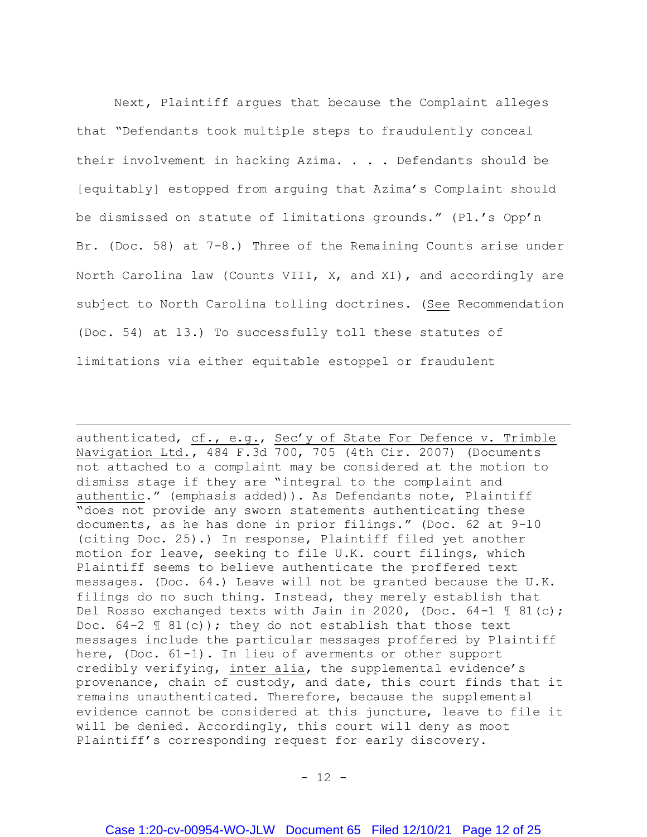Next, Plaintiff argues that because the Complaint alleges that "Defendants took multiple steps to fraudulently conceal their involvement in hacking Azima. . . . Defendants should be [equitably] estopped from arguing that Azima's Complaint should be dismissed on statute of limitations grounds." (Pl.'s Opp'n Br. (Doc. 58) at 7-8.) Three of the Remaining Counts arise under North Carolina law (Counts VIII, X, and XI), and accordingly are subject to North Carolina tolling doctrines. (See Recommendation (Doc. 54) at 13.) To successfully toll these statutes of limitations via either equitable estoppel or fraudulent

authenticated, cf., e.g., Sec'y of State For Defence v. Trimble Navigation Ltd., 484 F.3d 700, 705 (4th Cir. 2007) (Documents not attached to a complaint may be considered at the motion to dismiss stage if they are "integral to the complaint and authentic." (emphasis added)). As Defendants note, Plaintiff "does not provide any sworn statements authenticating these documents, as he has done in prior filings." (Doc. 62 at 9-10 (citing Doc. 25).) In response, Plaintiff filed yet another motion for leave, seeking to file U.K. court filings, which Plaintiff seems to believe authenticate the proffered text messages. (Doc. 64.) Leave will not be granted because the U.K. filings do no such thing. Instead, they merely establish that Del Rosso exchanged texts with Jain in 2020, (Doc. 64-1 ¶ 81(c); Doc.  $64-2 \text{ } \text{\ensuremath{\mathfrak{N}}}$   $81(c)$ ); they do not establish that those text messages include the particular messages proffered by Plaintiff here, (Doc. 61-1). In lieu of averments or other support credibly verifying, inter alia, the supplemental evidence's provenance, chain of custody, and date, this court finds that it remains unauthenticated. Therefore, because the supplemental evidence cannot be considered at this juncture, leave to file it will be denied. Accordingly, this court will deny as moot Plaintiff's corresponding request for early discovery.

 $\overline{a}$ 

 $- 12 -$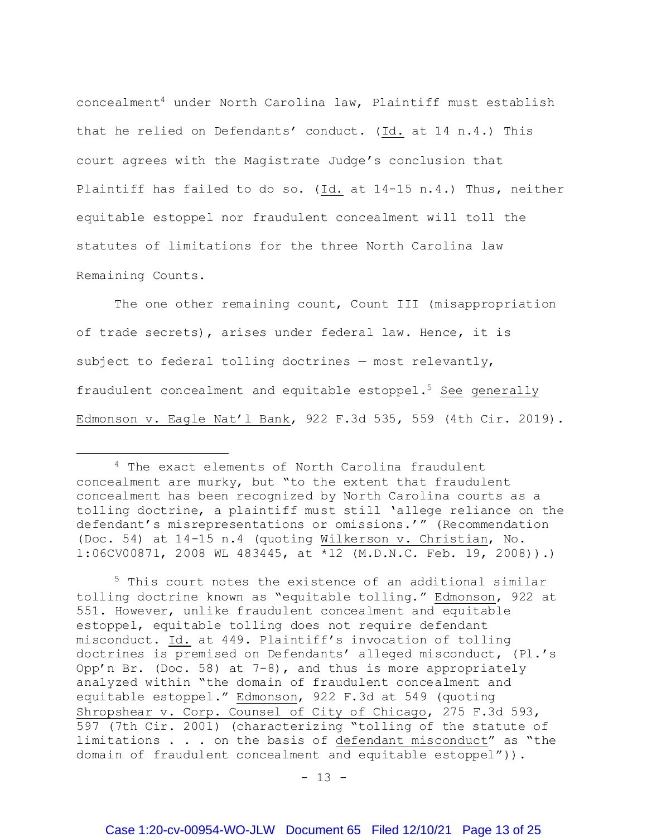concealment<sup>4</sup> under North Carolina law, Plaintiff must establish that he relied on Defendants' conduct. (Id. at 14 n.4.) This court agrees with the Magistrate Judge's conclusion that Plaintiff has failed to do so. (Id. at 14-15 n.4.) Thus, neither equitable estoppel nor fraudulent concealment will toll the statutes of limitations for the three North Carolina law Remaining Counts.

The one other remaining count, Count III (misappropriation of trade secrets), arises under federal law. Hence, it is subject to federal tolling doctrines — most relevantly, fraudulent concealment and equitable estoppel.<sup>5</sup> See generally Edmonson v. Eagle Nat'l Bank, 922 F.3d 535, 559 (4th Cir. 2019).

 $\overline{a}$ 

<sup>5</sup> This court notes the existence of an additional similar tolling doctrine known as "equitable tolling." Edmonson, 922 at 551. However, unlike fraudulent concealment and equitable estoppel, equitable tolling does not require defendant misconduct. Id. at 449. Plaintiff's invocation of tolling doctrines is premised on Defendants' alleged misconduct, (Pl.'s Opp'n Br. (Doc. 58) at 7-8), and thus is more appropriately analyzed within "the domain of fraudulent concealment and equitable estoppel." Edmonson, 922 F.3d at 549 (quoting Shropshear v. Corp. Counsel of City of Chicago, 275 F.3d 593, 597 (7th Cir. 2001) (characterizing "tolling of the statute of limitations . . . on the basis of defendant misconduct" as "the domain of fraudulent concealment and equitable estoppel")).

 $- 13 -$ 

<sup>&</sup>lt;sup>4</sup> The exact elements of North Carolina fraudulent concealment are murky, but "to the extent that fraudulent concealment has been recognized by North Carolina courts as a tolling doctrine, a plaintiff must still 'allege reliance on the defendant's misrepresentations or omissions.'" (Recommendation (Doc. 54) at 14-15 n.4 (quoting Wilkerson v. Christian, No. 1:06CV00871, 2008 WL 483445, at \*12 (M.D.N.C. Feb. 19, 2008)).)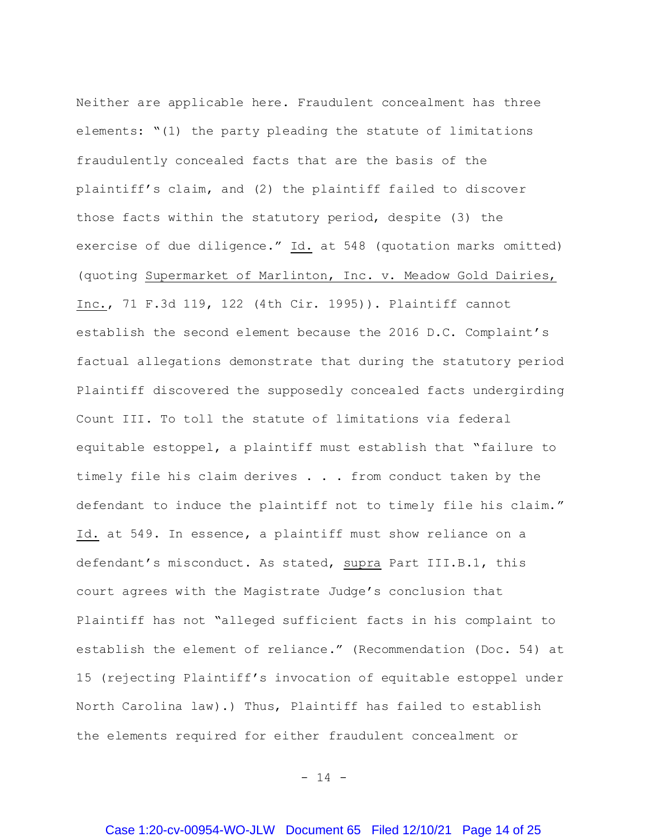Neither are applicable here. Fraudulent concealment has three elements: "(1) the party pleading the statute of limitations fraudulently concealed facts that are the basis of the plaintiff's claim, and (2) the plaintiff failed to discover those facts within the statutory period, despite (3) the exercise of due diligence." Id. at 548 (quotation marks omitted) (quoting Supermarket of Marlinton, Inc. v. Meadow Gold Dairies, Inc., 71 F.3d 119, 122 (4th Cir. 1995)). Plaintiff cannot establish the second element because the 2016 D.C. Complaint's factual allegations demonstrate that during the statutory period Plaintiff discovered the supposedly concealed facts undergirding Count III. To toll the statute of limitations via federal equitable estoppel, a plaintiff must establish that "failure to timely file his claim derives . . . from conduct taken by the defendant to induce the plaintiff not to timely file his claim." Id. at 549. In essence, a plaintiff must show reliance on a defendant's misconduct. As stated, supra Part III.B.1, this court agrees with the Magistrate Judge's conclusion that Plaintiff has not "alleged sufficient facts in his complaint to establish the element of reliance." (Recommendation (Doc. 54) at 15 (rejecting Plaintiff's invocation of equitable estoppel under North Carolina law).) Thus, Plaintiff has failed to establish the elements required for either fraudulent concealment or

- 14 -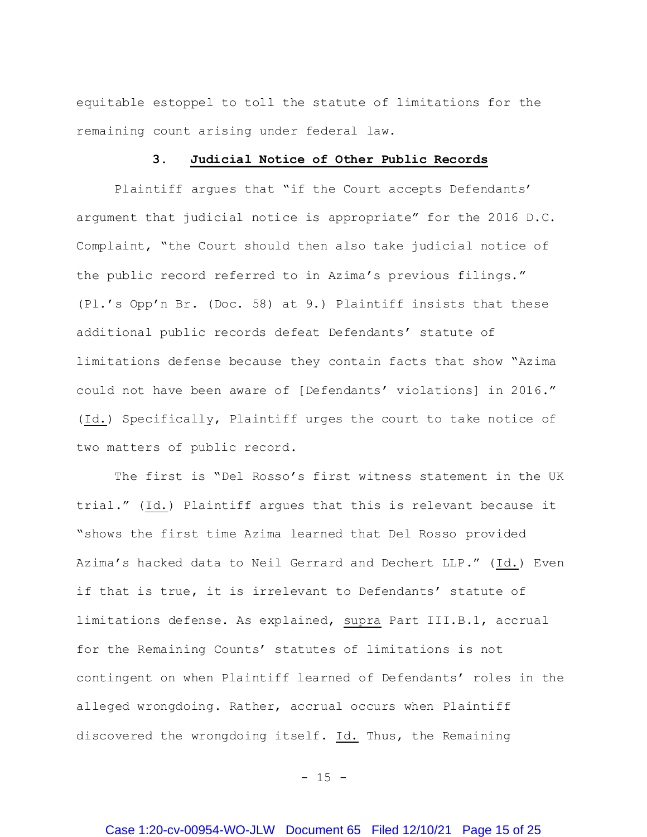equitable estoppel to toll the statute of limitations for the remaining count arising under federal law.

### **3. Judicial Notice of Other Public Records**

Plaintiff argues that "if the Court accepts Defendants' argument that judicial notice is appropriate" for the 2016 D.C. Complaint, "the Court should then also take judicial notice of the public record referred to in Azima's previous filings." (Pl.'s Opp'n Br. (Doc. 58) at 9.) Plaintiff insists that these additional public records defeat Defendants' statute of limitations defense because they contain facts that show "Azima could not have been aware of [Defendants' violations] in 2016." (Id.) Specifically, Plaintiff urges the court to take notice of two matters of public record.

The first is "Del Rosso's first witness statement in the UK trial." (Id.) Plaintiff argues that this is relevant because it "shows the first time Azima learned that Del Rosso provided Azima's hacked data to Neil Gerrard and Dechert LLP." (Id.) Even if that is true, it is irrelevant to Defendants' statute of limitations defense. As explained, supra Part III.B.1, accrual for the Remaining Counts' statutes of limitations is not contingent on when Plaintiff learned of Defendants' roles in the alleged wrongdoing. Rather, accrual occurs when Plaintiff discovered the wrongdoing itself. Id. Thus, the Remaining

 $- 15 -$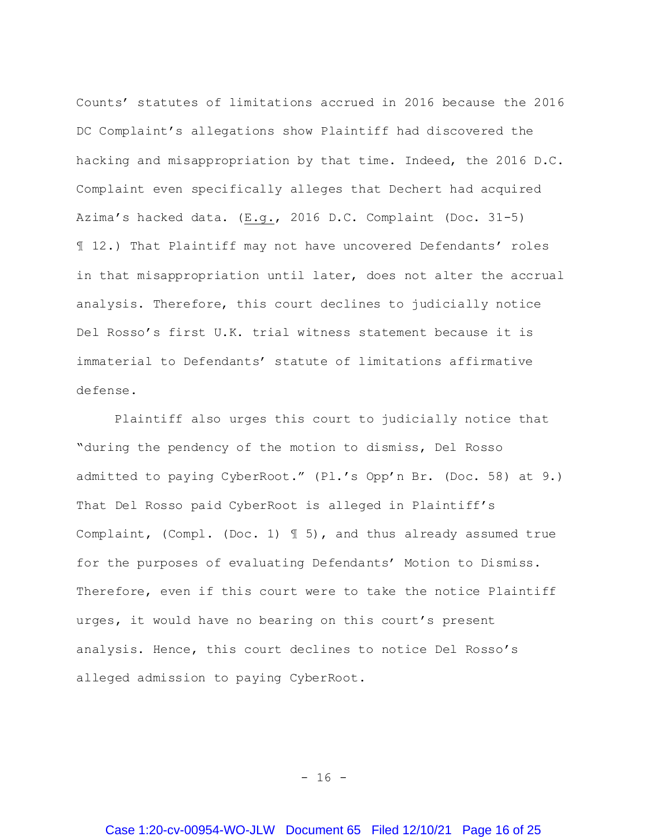Counts' statutes of limitations accrued in 2016 because the 2016 DC Complaint's allegations show Plaintiff had discovered the hacking and misappropriation by that time. Indeed, the 2016 D.C. Complaint even specifically alleges that Dechert had acquired Azima's hacked data. (E.g., 2016 D.C. Complaint (Doc. 31-5) ¶ 12.) That Plaintiff may not have uncovered Defendants' roles in that misappropriation until later, does not alter the accrual analysis. Therefore, this court declines to judicially notice Del Rosso's first U.K. trial witness statement because it is immaterial to Defendants' statute of limitations affirmative defense.

Plaintiff also urges this court to judicially notice that "during the pendency of the motion to dismiss, Del Rosso admitted to paying CyberRoot." (Pl.'s Opp'n Br. (Doc. 58) at 9.) That Del Rosso paid CyberRoot is alleged in Plaintiff's Complaint, (Compl. (Doc. 1) ¶ 5), and thus already assumed true for the purposes of evaluating Defendants' Motion to Dismiss. Therefore, even if this court were to take the notice Plaintiff urges, it would have no bearing on this court's present analysis. Hence, this court declines to notice Del Rosso's alleged admission to paying CyberRoot.

- 16 -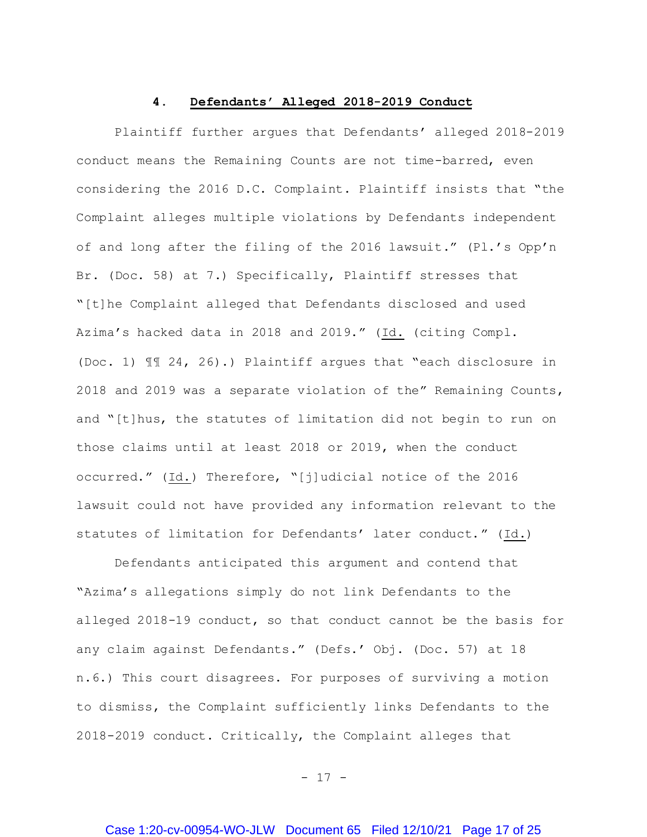### **4. Defendants' Alleged 2018-2019 Conduct**

Plaintiff further argues that Defendants' alleged 2018-2019 conduct means the Remaining Counts are not time-barred, even considering the 2016 D.C. Complaint. Plaintiff insists that "the Complaint alleges multiple violations by Defendants independent of and long after the filing of the 2016 lawsuit." (Pl.'s Opp'n Br. (Doc. 58) at 7.) Specifically, Plaintiff stresses that "[t]he Complaint alleged that Defendants disclosed and used Azima's hacked data in 2018 and 2019." (Id. (citing Compl. (Doc. 1) ¶¶ 24, 26).) Plaintiff argues that "each disclosure in 2018 and 2019 was a separate violation of the" Remaining Counts, and "[t]hus, the statutes of limitation did not begin to run on those claims until at least 2018 or 2019, when the conduct occurred." (Id.) Therefore, "[j]udicial notice of the 2016 lawsuit could not have provided any information relevant to the statutes of limitation for Defendants' later conduct."  $(Id.)$ 

Defendants anticipated this argument and contend that "Azima's allegations simply do not link Defendants to the alleged 2018-19 conduct, so that conduct cannot be the basis for any claim against Defendants." (Defs.' Obj. (Doc. 57) at 18 n.6.) This court disagrees. For purposes of surviving a motion to dismiss, the Complaint sufficiently links Defendants to the 2018-2019 conduct. Critically, the Complaint alleges that

- 17 -

## Case 1:20-cv-00954-WO-JLW Document 65 Filed 12/10/21 Page 17 of 25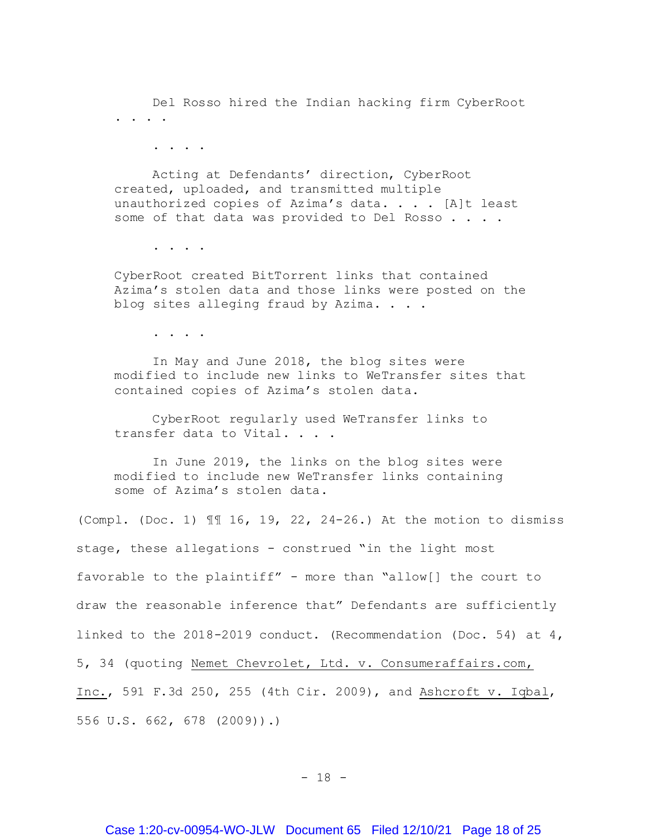Del Rosso hired the Indian hacking firm CyberRoot . . . .

. . . .

Acting at Defendants' direction, CyberRoot created, uploaded, and transmitted multiple unauthorized copies of Azima's data. . . . [A]t least some of that data was provided to Del Rosso . . . .

. . . .

CyberRoot created BitTorrent links that contained Azima's stolen data and those links were posted on the blog sites alleging fraud by Azima. . . .

. . . .

In May and June 2018, the blog sites were modified to include new links to WeTransfer sites that contained copies of Azima's stolen data.

CyberRoot regularly used WeTransfer links to transfer data to Vital. . . .

In June 2019, the links on the blog sites were modified to include new WeTransfer links containing some of Azima's stolen data.

(Compl. (Doc. 1) ¶¶ 16, 19, 22, 24-26.) At the motion to dismiss stage, these allegations - construed "in the light most favorable to the plaintiff" - more than "allow[] the court to draw the reasonable inference that" Defendants are sufficiently linked to the 2018-2019 conduct. (Recommendation (Doc. 54) at 4, 5, 34 (quoting Nemet Chevrolet, Ltd. v. Consumeraffairs.com, Inc., 591 F.3d 250, 255 (4th Cir. 2009), and Ashcroft v. Iqbal, 556 U.S. 662, 678 (2009)).)

- 18 -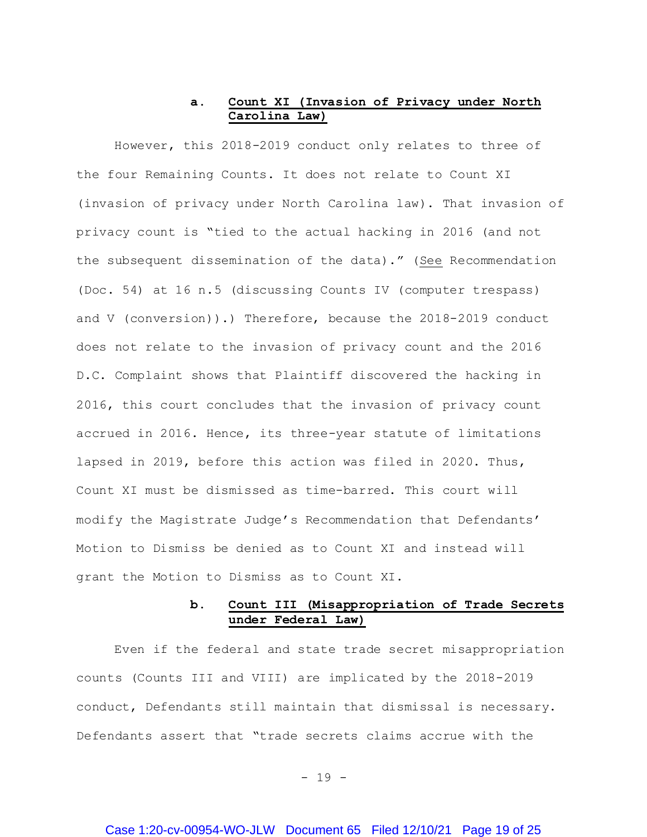## **a. Count XI (Invasion of Privacy under North Carolina Law)**

However, this 2018-2019 conduct only relates to three of the four Remaining Counts. It does not relate to Count XI (invasion of privacy under North Carolina law). That invasion of privacy count is "tied to the actual hacking in 2016 (and not the subsequent dissemination of the data)." (See Recommendation (Doc. 54) at 16 n.5 (discussing Counts IV (computer trespass) and V (conversion)).) Therefore, because the 2018-2019 conduct does not relate to the invasion of privacy count and the 2016 D.C. Complaint shows that Plaintiff discovered the hacking in 2016, this court concludes that the invasion of privacy count accrued in 2016. Hence, its three-year statute of limitations lapsed in 2019, before this action was filed in 2020. Thus, Count XI must be dismissed as time-barred. This court will modify the Magistrate Judge's Recommendation that Defendants' Motion to Dismiss be denied as to Count XI and instead will grant the Motion to Dismiss as to Count XI.

# **b. Count III (Misappropriation of Trade Secrets under Federal Law)**

Even if the federal and state trade secret misappropriation counts (Counts III and VIII) are implicated by the 2018-2019 conduct, Defendants still maintain that dismissal is necessary. Defendants assert that "trade secrets claims accrue with the

- 19 -

#### Case 1:20-cv-00954-WO-JLW Document 65 Filed 12/10/21 Page 19 of 25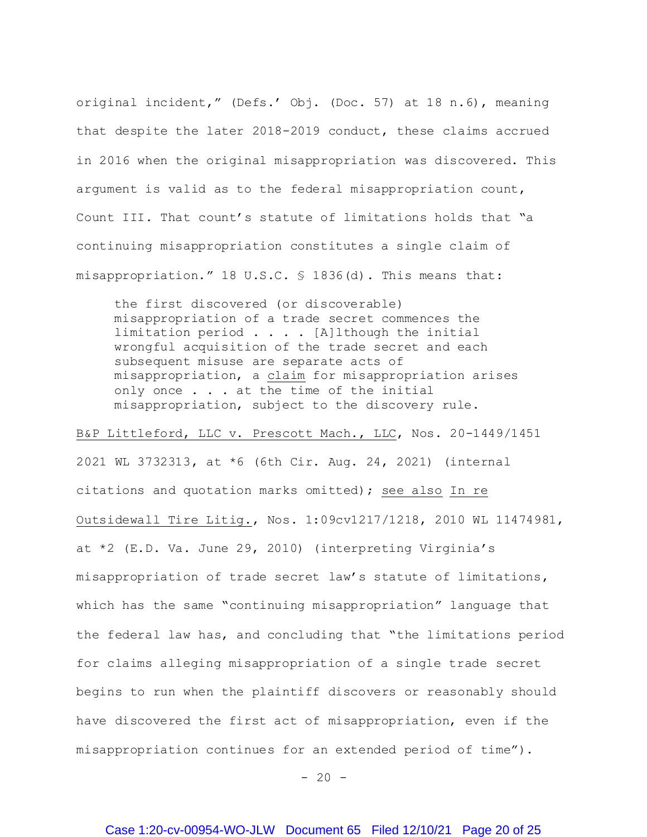original incident," (Defs.' Obj. (Doc. 57) at 18 n.6), meaning that despite the later 2018-2019 conduct, these claims accrued in 2016 when the original misappropriation was discovered. This argument is valid as to the federal misappropriation count, Count III. That count's statute of limitations holds that "a continuing misappropriation constitutes a single claim of misappropriation." 18 U.S.C. § 1836(d). This means that:

the first discovered (or discoverable) misappropriation of a trade secret commences the limitation period  $\ldots$  . [A]lthough the initial wrongful acquisition of the trade secret and each subsequent misuse are separate acts of misappropriation, a claim for misappropriation arises only once . . . at the time of the initial misappropriation, subject to the discovery rule.

B&P Littleford, LLC v. Prescott Mach., LLC, Nos. 20-1449/1451 2021 WL 3732313, at \*6 (6th Cir. Aug. 24, 2021) (internal citations and quotation marks omitted); see also In re Outsidewall Tire Litig., Nos. 1:09cv1217/1218, 2010 WL 11474981, at \*2 (E.D. Va. June 29, 2010) (interpreting Virginia's misappropriation of trade secret law's statute of limitations, which has the same "continuing misappropriation" language that the federal law has, and concluding that "the limitations period for claims alleging misappropriation of a single trade secret begins to run when the plaintiff discovers or reasonably should have discovered the first act of misappropriation, even if the misappropriation continues for an extended period of time").

 $- 20 -$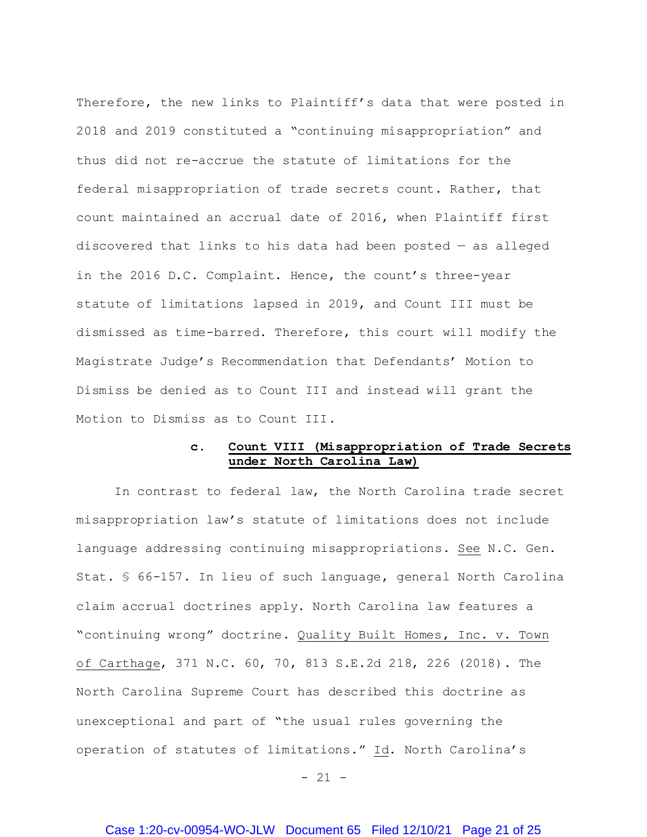Therefore, the new links to Plaintiff's data that were posted in 2018 and 2019 constituted a "continuing misappropriation" and thus did not re-accrue the statute of limitations for the federal misappropriation of trade secrets count. Rather, that count maintained an accrual date of 2016, when Plaintiff first discovered that links to his data had been posted — as alleged in the 2016 D.C. Complaint. Hence, the count's three-year statute of limitations lapsed in 2019, and Count III must be dismissed as time-barred. Therefore, this court will modify the Magistrate Judge's Recommendation that Defendants' Motion to Dismiss be denied as to Count III and instead will grant the Motion to Dismiss as to Count III.

## **c. Count VIII (Misappropriation of Trade Secrets under North Carolina Law)**

In contrast to federal law, the North Carolina trade secret misappropriation law's statute of limitations does not include language addressing continuing misappropriations. See N.C. Gen. Stat. § 66-157. In lieu of such language, general North Carolina claim accrual doctrines apply. North Carolina law features a "continuing wrong" doctrine. Quality Built Homes, Inc. v. Town of Carthage, 371 N.C. 60, 70, 813 S.E.2d 218, 226 (2018). The North Carolina Supreme Court has described this doctrine as unexceptional and part of "the usual rules governing the operation of statutes of limitations." Id. North Carolina's

 $- 21 -$ 

## Case 1:20-cv-00954-WO-JLW Document 65 Filed 12/10/21 Page 21 of 25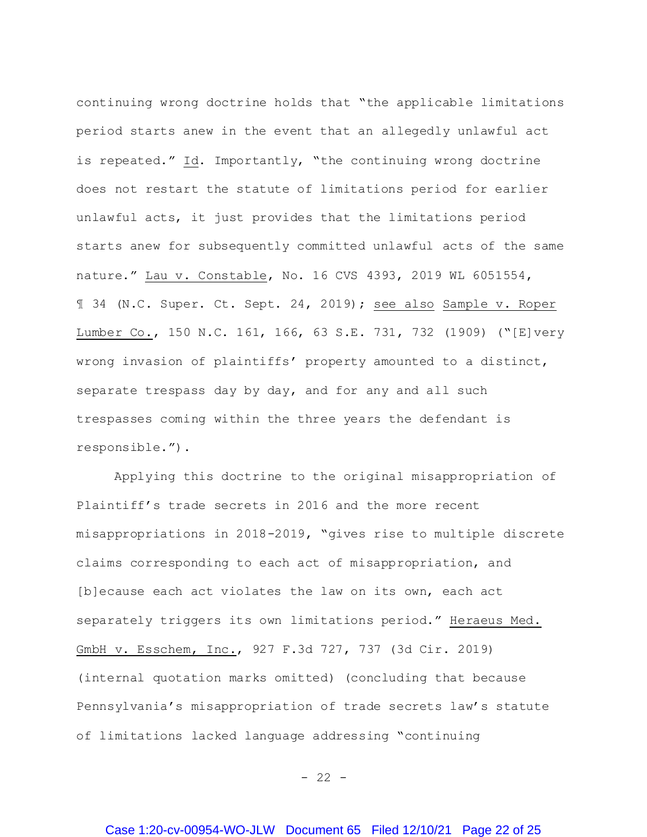continuing wrong doctrine holds that "the applicable limitations period starts anew in the event that an allegedly unlawful act is repeated." Id. Importantly, "the continuing wrong doctrine does not restart the statute of limitations period for earlier unlawful acts, it just provides that the limitations period starts anew for subsequently committed unlawful acts of the same nature." Lau v. Constable, No. 16 CVS 4393, 2019 WL 6051554, ¶ 34 (N.C. Super. Ct. Sept. 24, 2019); see also Sample v. Roper Lumber Co., 150 N.C. 161, 166, 63 S.E. 731, 732 (1909) ("[E]very wrong invasion of plaintiffs' property amounted to a distinct, separate trespass day by day, and for any and all such trespasses coming within the three years the defendant is responsible.").

Applying this doctrine to the original misappropriation of Plaintiff's trade secrets in 2016 and the more recent misappropriations in 2018-2019, "gives rise to multiple discrete claims corresponding to each act of misappropriation, and [b]ecause each act violates the law on its own, each act separately triggers its own limitations period." Heraeus Med. GmbH v. Esschem, Inc., 927 F.3d 727, 737 (3d Cir. 2019) (internal quotation marks omitted) (concluding that because Pennsylvania's misappropriation of trade secrets law's statute of limitations lacked language addressing "continuing

 $- 22 -$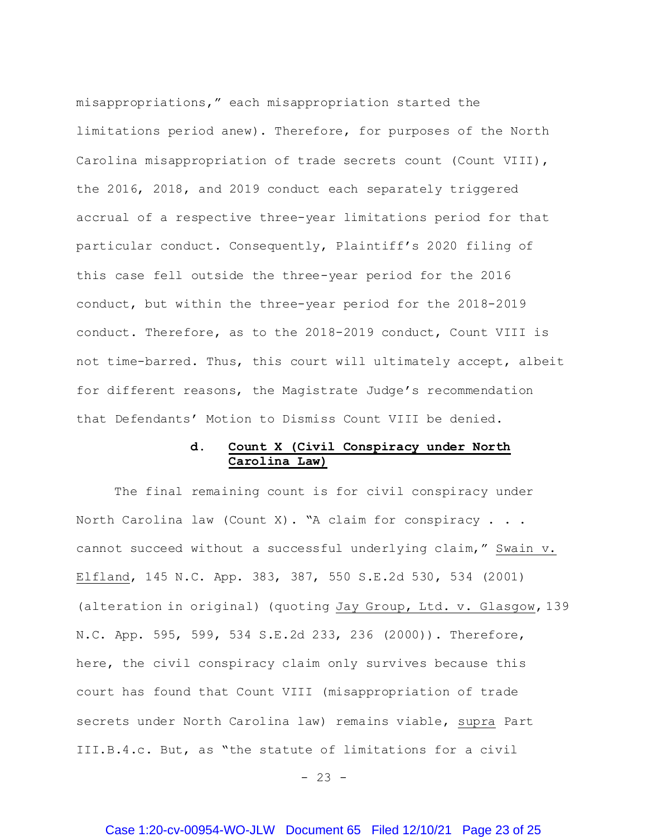misappropriations," each misappropriation started the limitations period anew). Therefore, for purposes of the North Carolina misappropriation of trade secrets count (Count VIII), the 2016, 2018, and 2019 conduct each separately triggered accrual of a respective three-year limitations period for that particular conduct. Consequently, Plaintiff's 2020 filing of this case fell outside the three-year period for the 2016 conduct, but within the three-year period for the 2018-2019 conduct. Therefore, as to the 2018-2019 conduct, Count VIII is not time-barred. Thus, this court will ultimately accept, albeit for different reasons, the Magistrate Judge's recommendation that Defendants' Motion to Dismiss Count VIII be denied.

## **d. Count X (Civil Conspiracy under North Carolina Law)**

The final remaining count is for civil conspiracy under North Carolina law (Count X). "A claim for conspiracy  $\ldots$ . cannot succeed without a successful underlying claim," Swain v. Elfland, 145 N.C. App. 383, 387, 550 S.E.2d 530, 534 (2001) (alteration in original) (quoting Jay Group, Ltd. v. Glasgow, 139 N.C. App. 595, 599, 534 S.E.2d 233, 236 (2000)). Therefore, here, the civil conspiracy claim only survives because this court has found that Count VIII (misappropriation of trade secrets under North Carolina law) remains viable, supra Part III.B.4.c. But, as "the statute of limitations for a civil

 $- 23 -$ 

# Case 1:20-cv-00954-WO-JLW Document 65 Filed 12/10/21 Page 23 of 25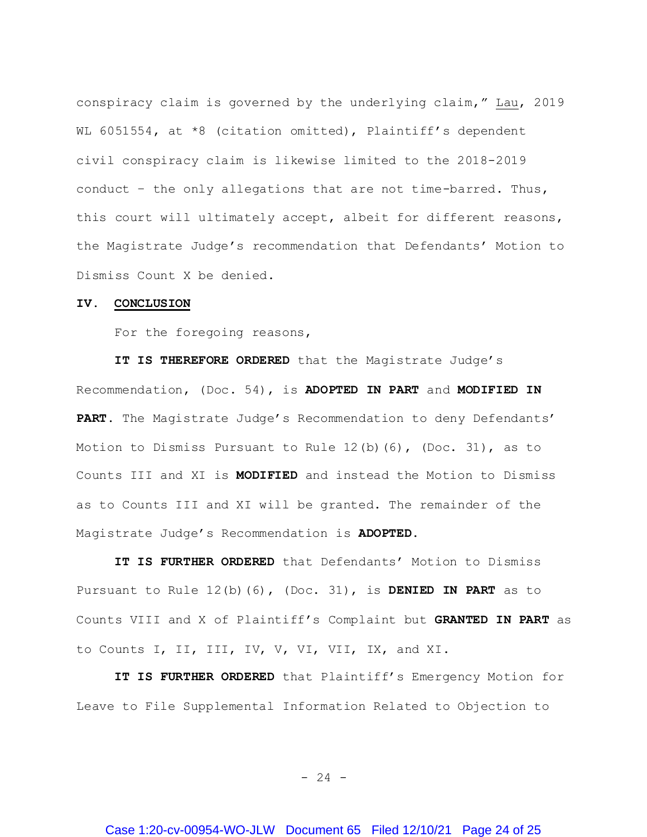conspiracy claim is governed by the underlying claim," Lau, 2019 WL 6051554, at \*8 (citation omitted), Plaintiff's dependent civil conspiracy claim is likewise limited to the 2018-2019 conduct – the only allegations that are not time-barred. Thus, this court will ultimately accept, albeit for different reasons, the Magistrate Judge's recommendation that Defendants' Motion to Dismiss Count X be denied.

#### **IV. CONCLUSION**

For the foregoing reasons,

**IT IS THEREFORE ORDERED** that the Magistrate Judge's Recommendation, (Doc. 54), is **ADOPTED IN PART** and **MODIFIED IN PART.** The Magistrate Judge's Recommendation to deny Defendants' Motion to Dismiss Pursuant to Rule  $12(b)$  (6), (Doc. 31), as to Counts III and XI is **MODIFIED** and instead the Motion to Dismiss as to Counts III and XI will be granted**.** The remainder of the Magistrate Judge's Recommendation is **ADOPTED**.

**IT IS FURTHER ORDERED** that Defendants' Motion to Dismiss Pursuant to Rule 12(b)(6), (Doc. 31), is **DENIED IN PART** as to Counts VIII and X of Plaintiff's Complaint but **GRANTED IN PART** as to Counts I, II, III, IV, V, VI, VII, IX, and XI.

**IT IS FURTHER ORDERED** that Plaintiff's Emergency Motion for Leave to File Supplemental Information Related to Objection to

- 24 -